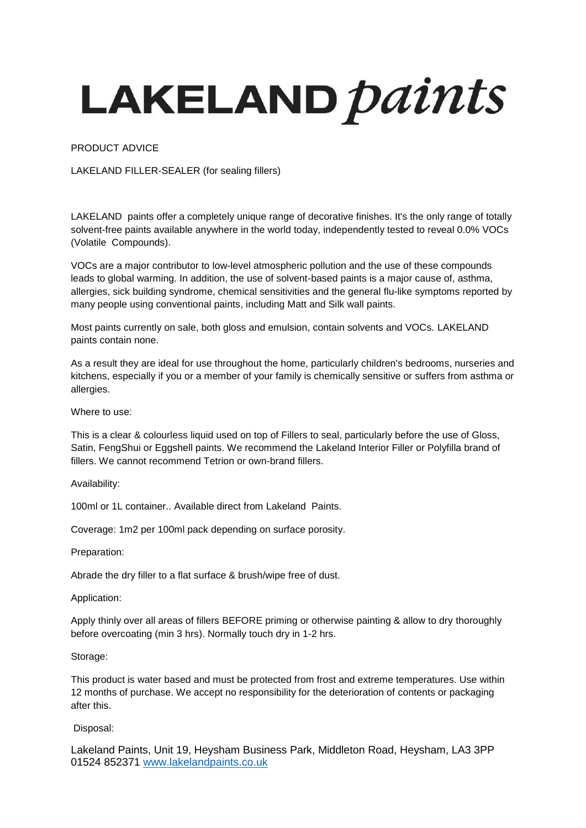## LAKELAND *paints*

PRODUCT ADVICE

LAKELAND FILLER-SEALER (for sealing fillers)

LAKELAND paints offer a completely unique range of decorative finishes. It's the only range of totally solvent-free paints available anywhere in the world today, independently tested to reveal 0.0% VOCs (Volatile Compounds).

VOCs are a major contributor to low-level atmospheric pollution and the use of these compounds leads to global warming. In addition, the use of solvent-based paints is a major cause of, asthma, allergies, sick building syndrome, chemical sensitivities and the general flu-like symptoms reported by many people using conventional paints, including Matt and Silk wall paints.

Most paints currently on sale, both gloss and emulsion, contain solvents and VOCs. LAKELAND paints contain none.

As a result they are ideal for use throughout the home, particularly children's bedrooms, nurseries and kitchens, especially if you or a member of your family is chemically sensitive or suffers from asthma or allergies.

Where to use:

This is a clear & colourless liquid used on top of Fillers to seal, particularly before the use of Gloss, Satin, FengShui or Eggshell paints. We recommend the Lakeland Interior Filler or Polyfilla brand of fillers. We cannot recommend Tetrion or own-brand fillers.

Availability:

100ml or 1L container.. Available direct from Lakeland Paints.

Coverage: 1m2 per 100ml pack depending on surface porosity.

Preparation:

Abrade the dry filler to a flat surface & brush/wipe free of dust.

Application:

Apply thinly over all areas of fillers BEFORE priming or otherwise painting & allow to dry thoroughly before overcoating (min 3 hrs). Normally touch dry in 1-2 hrs.

Storage:

This product is water based and must be protected from frost and extreme temperatures. Use within 12 months of purchase. We accept no responsibility for the deterioration of contents or packaging after this.

Disposal:

Lakeland Paints, Unit 19, Heysham Business Park, Middleton Road, Heysham, LA3 3PP 01524 852371 [www.lakelandpaints.co.uk](http://www.lakelandpaints.co.uk/)